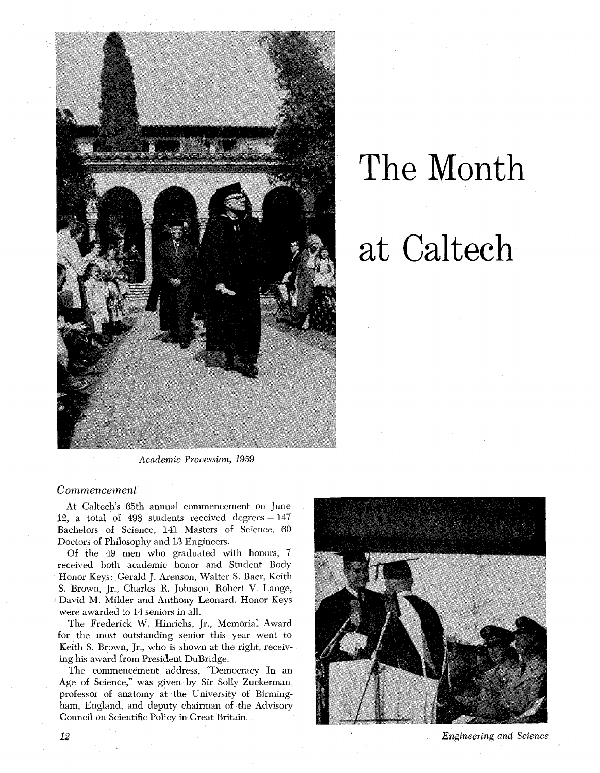

## The Month at Caltech

*Academic Procession, 1959* 

## *Commencement*

At Caltech's 65th annual commencement on June 12, a total of 498 students received degrees  $-147$ Bachelors of Science, 141 Masters of Science, 60 Doctors of Philosophy and 13 Engineers.

Of the 49 men who graduated with honors, 7 received both academic honor and Student Body Honor Keys: Gerald J. Arenson, Walter S. Baer, Keith S. Brown, Jr., Charles R. Johnson, Robert V. Lange, David M. Milder and Anthony Leonard. Honor Keys were awarded to 14 seniors in all.

The Frederick W. Hinrichs, Jr., Memorial Award for the most outstanding senior this year went to Keith S. Brown, Jr., who is shown at the right, receiving his award from President DuBridge.

The commencement address, "Democracy In an Age of Science," was given by Sir Solly Zuckerman, professor of anatomy at the University of Birmingham, England, and deputy chairman of the Advisory Council on Scientific Policy in Great Britain.



**Engineering** and *Science* 

**12**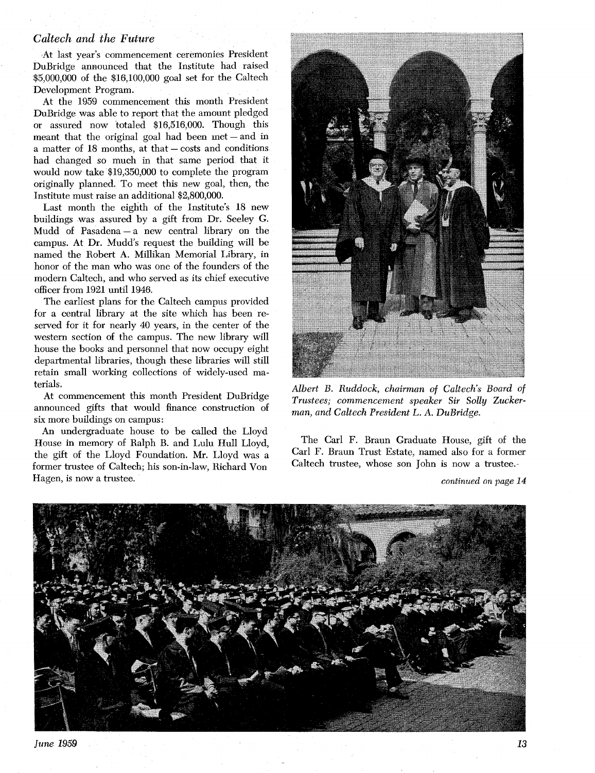## *Caltech and the Future*

At last year's commencement ceremonies President DuBridge announced that the Institute had raised \$5,000,000 of the \$16,100,000 goal set for the Caltech Development Program.

At the 1959 commencement this month President DuBridge was able to report that the amount pledged or assured now totaled \$16,516,000. Though this meant that the original goal had been  $met - and$  in a matter of  $18$  months, at that  $-$  costs and conditions had changed so much in that same period that it would now take \$19,350,000 to complete the program originally planned. To meet this new goal, then, the Institute must raise an additional \$2,800,000.

Last month the eighth of the Institute's 18 new buildings was assured by a gift from Dr. Seeley *G.*  Mudd of Pasadena - a new central library on the campus. At Dr. Mudd's request the building will be named the Robert A. Millikan Memorial Library, in honor of the man who was one of the founders of the modern Caltech, and who served as its chief executive officer from 1921 until 1946.

The earliest plans for the Caltech campus provided for a central library at the site which has been reserved for it for nearly 40 years, in the center of the western section of the campus. The new library will house the books and personnel that now occupy eight departmental libraries, though these libraries will still retain small working collections of widely-used materials.

At commencement this month President DuBridge announced gifts that would finance construction of six more buildings on campus :

An undergraduate house to be called the Lloyd House in memory of Ralph B. and Lulu Hull Lloyd, the gift of the Lloyd Foundation. Mr. Lloyd was a former trustee of Caltech; his son-in-law, Richard Von Hagen, is now a trustee.



*Albert B. Ruddock, chairman of Caltech's Board of Trustees; commencement speaker Sir Solly Zuckerman, and Caltech President L. A. DuBridge.* 

The Carl F. Braun Graduate House, gift of the Carl F. Braun Trust Estate, named also for a former Caltech trustee, whose son John is now a trustee:

*continued on page 14* 



*June 1959 13*